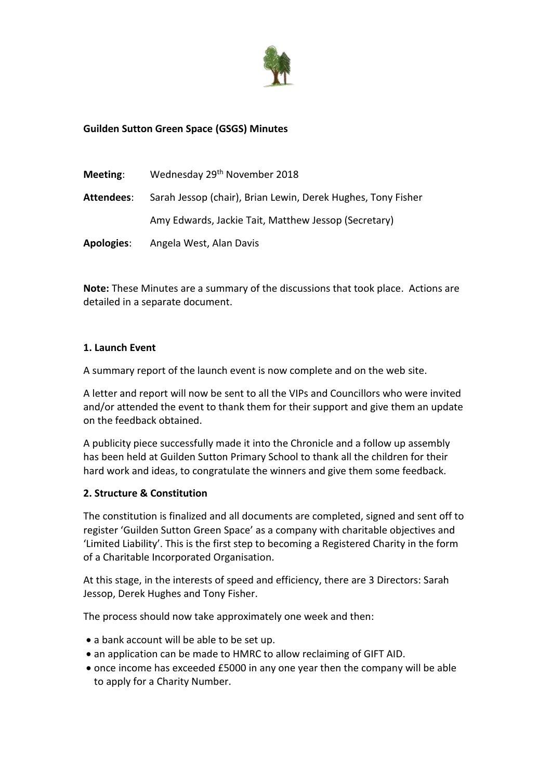

# **Guilden Sutton Green Space (GSGS) Minutes**

| Meeting:   | Wednesday 29 <sup>th</sup> November 2018                     |
|------------|--------------------------------------------------------------|
| Attendees: | Sarah Jessop (chair), Brian Lewin, Derek Hughes, Tony Fisher |
|            | Amy Edwards, Jackie Tait, Matthew Jessop (Secretary)         |
| Apologies: | Angela West, Alan Davis                                      |

**Note:** These Minutes are a summary of the discussions that took place. Actions are detailed in a separate document.

#### **1. Launch Event**

A summary report of the launch event is now complete and on the web site.

A letter and report will now be sent to all the VIPs and Councillors who were invited and/or attended the event to thank them for their support and give them an update on the feedback obtained.

A publicity piece successfully made it into the Chronicle and a follow up assembly has been held at Guilden Sutton Primary School to thank all the children for their hard work and ideas, to congratulate the winners and give them some feedback.

#### **2. Structure & Constitution**

The constitution is finalized and all documents are completed, signed and sent off to register 'Guilden Sutton Green Space' as a company with charitable objectives and 'Limited Liability'. This is the first step to becoming a Registered Charity in the form of a Charitable Incorporated Organisation.

At this stage, in the interests of speed and efficiency, there are 3 Directors: Sarah Jessop, Derek Hughes and Tony Fisher.

The process should now take approximately one week and then:

- a bank account will be able to be set up.
- an application can be made to HMRC to allow reclaiming of GIFT AID.
- once income has exceeded £5000 in any one year then the company will be able to apply for a Charity Number.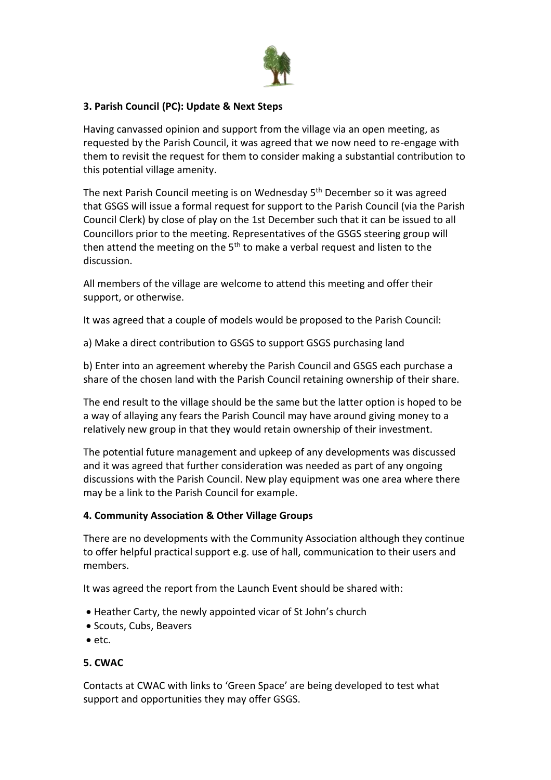

# **3. Parish Council (PC): Update & Next Steps**

Having canvassed opinion and support from the village via an open meeting, as requested by the Parish Council, it was agreed that we now need to re-engage with them to revisit the request for them to consider making a substantial contribution to this potential village amenity.

The next Parish Council meeting is on Wednesday 5<sup>th</sup> December so it was agreed that GSGS will issue a formal request for support to the Parish Council (via the Parish Council Clerk) by close of play on the 1st December such that it can be issued to all Councillors prior to the meeting. Representatives of the GSGS steering group will then attend the meeting on the  $5<sup>th</sup>$  to make a verbal request and listen to the discussion.

All members of the village are welcome to attend this meeting and offer their support, or otherwise.

It was agreed that a couple of models would be proposed to the Parish Council:

a) Make a direct contribution to GSGS to support GSGS purchasing land

b) Enter into an agreement whereby the Parish Council and GSGS each purchase a share of the chosen land with the Parish Council retaining ownership of their share.

The end result to the village should be the same but the latter option is hoped to be a way of allaying any fears the Parish Council may have around giving money to a relatively new group in that they would retain ownership of their investment.

The potential future management and upkeep of any developments was discussed and it was agreed that further consideration was needed as part of any ongoing discussions with the Parish Council. New play equipment was one area where there may be a link to the Parish Council for example.

#### **4. Community Association & Other Village Groups**

There are no developments with the Community Association although they continue to offer helpful practical support e.g. use of hall, communication to their users and members.

It was agreed the report from the Launch Event should be shared with:

- Heather Carty, the newly appointed vicar of St John's church
- Scouts, Cubs, Beavers
- $e$  etc.

### **5. CWAC**

Contacts at CWAC with links to 'Green Space' are being developed to test what support and opportunities they may offer GSGS.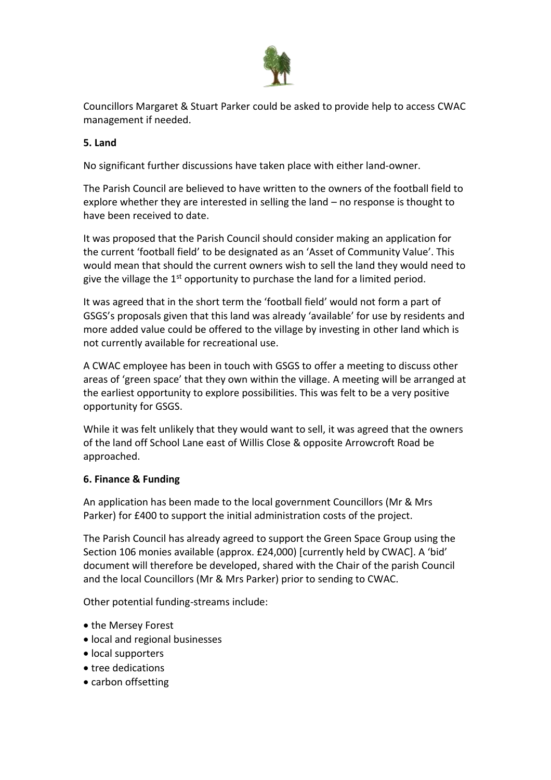

Councillors Margaret & Stuart Parker could be asked to provide help to access CWAC management if needed.

### **5. Land**

No significant further discussions have taken place with either land-owner.

The Parish Council are believed to have written to the owners of the football field to explore whether they are interested in selling the land – no response is thought to have been received to date.

It was proposed that the Parish Council should consider making an application for the current 'football field' to be designated as an 'Asset of Community Value'. This would mean that should the current owners wish to sell the land they would need to give the village the  $1<sup>st</sup>$  opportunity to purchase the land for a limited period.

It was agreed that in the short term the 'football field' would not form a part of GSGS's proposals given that this land was already 'available' for use by residents and more added value could be offered to the village by investing in other land which is not currently available for recreational use.

A CWAC employee has been in touch with GSGS to offer a meeting to discuss other areas of 'green space' that they own within the village. A meeting will be arranged at the earliest opportunity to explore possibilities. This was felt to be a very positive opportunity for GSGS.

While it was felt unlikely that they would want to sell, it was agreed that the owners of the land off School Lane east of Willis Close & opposite Arrowcroft Road be approached.

### **6. Finance & Funding**

An application has been made to the local government Councillors (Mr & Mrs Parker) for £400 to support the initial administration costs of the project.

The Parish Council has already agreed to support the Green Space Group using the Section 106 monies available (approx. £24,000) [currently held by CWAC]. A 'bid' document will therefore be developed, shared with the Chair of the parish Council and the local Councillors (Mr & Mrs Parker) prior to sending to CWAC.

Other potential funding-streams include:

- the Mersey Forest
- local and regional businesses
- local supporters
- tree dedications
- carbon offsetting